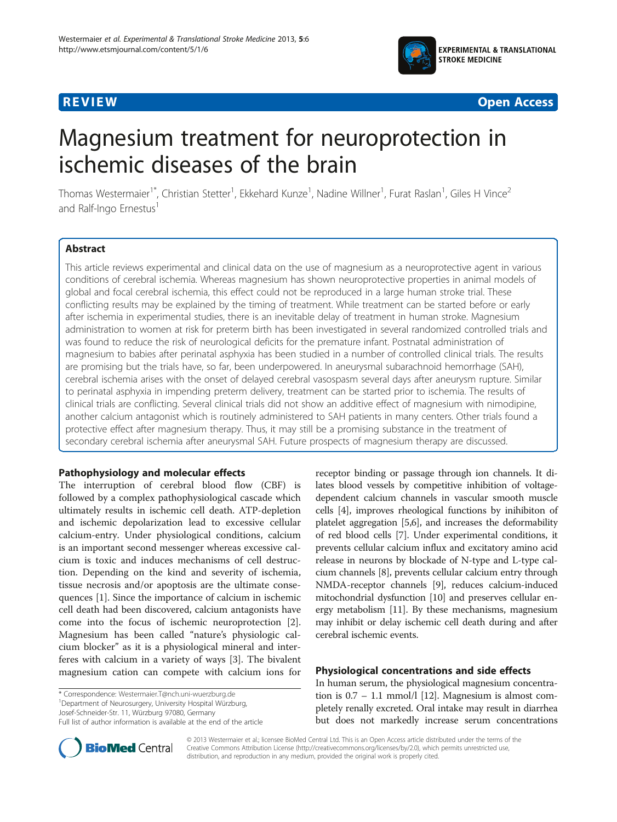



# Magnesium treatment for neuroprotection in ischemic diseases of the brain

Thomas Westermaier<sup>1\*</sup>, Christian Stetter<sup>1</sup>, Ekkehard Kunze<sup>1</sup>, Nadine Willner<sup>1</sup>, Furat Raslan<sup>1</sup>, Giles H Vince<sup>2</sup> and Ralf-Ingo Ernestus<sup>1</sup>

# Abstract

This article reviews experimental and clinical data on the use of magnesium as a neuroprotective agent in various conditions of cerebral ischemia. Whereas magnesium has shown neuroprotective properties in animal models of global and focal cerebral ischemia, this effect could not be reproduced in a large human stroke trial. These conflicting results may be explained by the timing of treatment. While treatment can be started before or early after ischemia in experimental studies, there is an inevitable delay of treatment in human stroke. Magnesium administration to women at risk for preterm birth has been investigated in several randomized controlled trials and was found to reduce the risk of neurological deficits for the premature infant. Postnatal administration of magnesium to babies after perinatal asphyxia has been studied in a number of controlled clinical trials. The results are promising but the trials have, so far, been underpowered. In aneurysmal subarachnoid hemorrhage (SAH), cerebral ischemia arises with the onset of delayed cerebral vasospasm several days after aneurysm rupture. Similar to perinatal asphyxia in impending preterm delivery, treatment can be started prior to ischemia. The results of clinical trials are conflicting. Several clinical trials did not show an additive effect of magnesium with nimodipine, another calcium antagonist which is routinely administered to SAH patients in many centers. Other trials found a protective effect after magnesium therapy. Thus, it may still be a promising substance in the treatment of secondary cerebral ischemia after aneurysmal SAH. Future prospects of magnesium therapy are discussed.

# Pathophysiology and molecular effects

The interruption of cerebral blood flow (CBF) is followed by a complex pathophysiological cascade which ultimately results in ischemic cell death. ATP-depletion and ischemic depolarization lead to excessive cellular calcium-entry. Under physiological conditions, calcium is an important second messenger whereas excessive calcium is toxic and induces mechanisms of cell destruction. Depending on the kind and severity of ischemia, tissue necrosis and/or apoptosis are the ultimate consequences [[1\]](#page-7-0). Since the importance of calcium in ischemic cell death had been discovered, calcium antagonists have come into the focus of ischemic neuroprotection [\[2](#page-7-0)]. Magnesium has been called "nature's physiologic calcium blocker" as it is a physiological mineral and interferes with calcium in a variety of ways [[3\]](#page-7-0). The bivalent magnesium cation can compete with calcium ions for

<sup>1</sup>Department of Neurosurgery, University Hospital Würzburg,

Josef-Schneider-Str. 11, Würzburg 97080, Germany

receptor binding or passage through ion channels. It dilates blood vessels by competitive inhibition of voltagedependent calcium channels in vascular smooth muscle cells [\[4](#page-7-0)], improves rheological functions by inihibiton of platelet aggregation [[5,6](#page-7-0)], and increases the deformability of red blood cells [\[7\]](#page-7-0). Under experimental conditions, it prevents cellular calcium influx and excitatory amino acid release in neurons by blockade of N-type and L-type calcium channels [\[8](#page-7-0)], prevents cellular calcium entry through NMDA-receptor channels [[9](#page-7-0)], reduces calcium-induced mitochondrial dysfunction [[10](#page-7-0)] and preserves cellular energy metabolism [\[11\]](#page-7-0). By these mechanisms, magnesium may inhibit or delay ischemic cell death during and after cerebral ischemic events.

# Physiological concentrations and side effects

In human serum, the physiological magnesium concentration is 0.7 – 1.1 mmol/l [\[12\]](#page-7-0). Magnesium is almost completely renally excreted. Oral intake may result in diarrhea but does not markedly increase serum concentrations



© 2013 Westermaier et al.; licensee BioMed Central Ltd. This is an Open Access article distributed under the terms of the Creative Commons Attribution License (<http://creativecommons.org/licenses/by/2.0>), which permits unrestricted use, distribution, and reproduction in any medium, provided the original work is properly cited.

<sup>\*</sup> Correspondence: [Westermaier.T@nch.uni-wuerzburg.de](mailto:Westermaier.T@nch.uni-wuerzburg.de) <sup>1</sup>

Full list of author information is available at the end of the article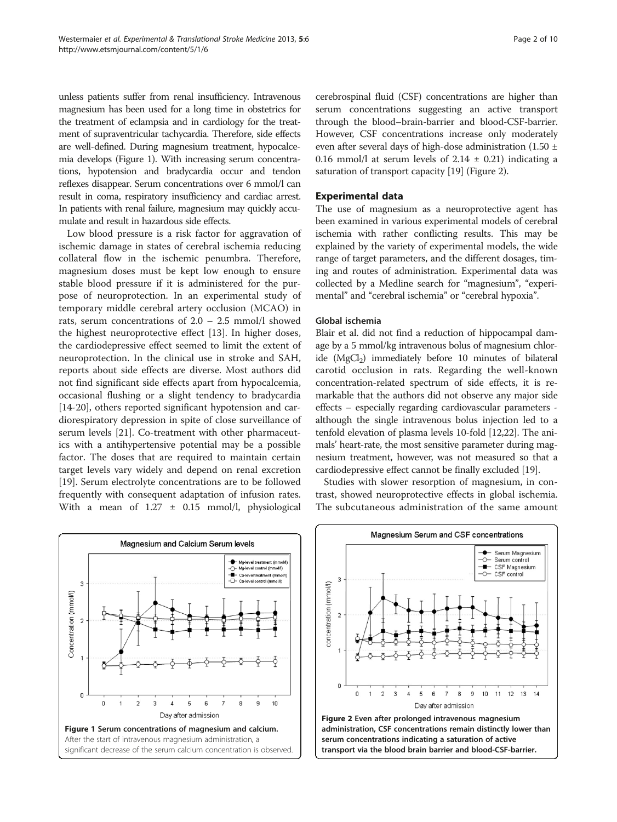<span id="page-1-0"></span>unless patients suffer from renal insufficiency. Intravenous magnesium has been used for a long time in obstetrics for the treatment of eclampsia and in cardiology for the treatment of supraventricular tachycardia. Therefore, side effects are well-defined. During magnesium treatment, hypocalcemia develops (Figure 1). With increasing serum concentrations, hypotension and bradycardia occur and tendon reflexes disappear. Serum concentrations over 6 mmol/l can result in coma, respiratory insufficiency and cardiac arrest. In patients with renal failure, magnesium may quickly accumulate and result in hazardous side effects.

Low blood pressure is a risk factor for aggravation of ischemic damage in states of cerebral ischemia reducing collateral flow in the ischemic penumbra. Therefore, magnesium doses must be kept low enough to ensure stable blood pressure if it is administered for the purpose of neuroprotection. In an experimental study of temporary middle cerebral artery occlusion (MCAO) in rats, serum concentrations of 2.0 – 2.5 mmol/l showed the highest neuroprotective effect [\[13](#page-7-0)]. In higher doses, the cardiodepressive effect seemed to limit the extent of neuroprotection. In the clinical use in stroke and SAH, reports about side effects are diverse. Most authors did not find significant side effects apart from hypocalcemia, occasional flushing or a slight tendency to bradycardia [[14-](#page-7-0)[20](#page-8-0)], others reported significant hypotension and cardiorespiratory depression in spite of close surveillance of serum levels [[21](#page-8-0)]. Co-treatment with other pharmaceutics with a antihypertensive potential may be a possible factor. The doses that are required to maintain certain target levels vary widely and depend on renal excretion [[19\]](#page-7-0). Serum electrolyte concentrations are to be followed frequently with consequent adaptation of infusion rates. With a mean of 1.27 ± 0.15 mmol/l, physiological

cerebrospinal fluid (CSF) concentrations are higher than serum concentrations suggesting an active transport through the blood–brain-barrier and blood-CSF-barrier. However, CSF concentrations increase only moderately even after several days of high-dose administration (1.50 ± 0.16 mmol/l at serum levels of  $2.14 \pm 0.21$ ) indicating a saturation of transport capacity [\[19\]](#page-7-0) (Figure 2).

### Experimental data

The use of magnesium as a neuroprotective agent has been examined in various experimental models of cerebral ischemia with rather conflicting results. This may be explained by the variety of experimental models, the wide range of target parameters, and the different dosages, timing and routes of administration. Experimental data was collected by a Medline search for "magnesium", "experimental" and "cerebral ischemia" or "cerebral hypoxia".

#### Global ischemia

Blair et al. did not find a reduction of hippocampal damage by a 5 mmol/kg intravenous bolus of magnesium chloride  $(MgCl<sub>2</sub>)$  immediately before 10 minutes of bilateral carotid occlusion in rats. Regarding the well-known concentration-related spectrum of side effects, it is remarkable that the authors did not observe any major side effects – especially regarding cardiovascular parameters although the single intravenous bolus injection led to a tenfold elevation of plasma levels 10-fold [[12](#page-7-0),[22](#page-8-0)]. The animals' heart-rate, the most sensitive parameter during magnesium treatment, however, was not measured so that a cardiodepressive effect cannot be finally excluded [[19\]](#page-7-0).

Studies with slower resorption of magnesium, in contrast, showed neuroprotective effects in global ischemia. The subcutaneous administration of the same amount





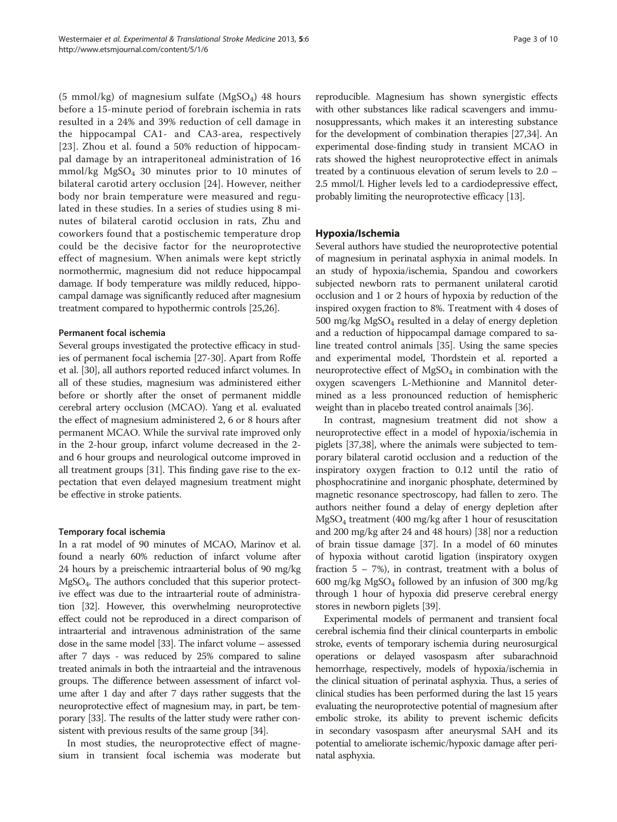(5 mmol/kg) of magnesium sulfate ( $MgSO<sub>4</sub>$ ) 48 hours before a 15-minute period of forebrain ischemia in rats resulted in a 24% and 39% reduction of cell damage in the hippocampal CA1- and CA3-area, respectively [[23](#page-8-0)]. Zhou et al. found a 50% reduction of hippocampal damage by an intraperitoneal administration of 16 mmol/kg  $MgSO<sub>4</sub>$  30 minutes prior to 10 minutes of bilateral carotid artery occlusion [[24](#page-8-0)]. However, neither body nor brain temperature were measured and regulated in these studies. In a series of studies using 8 minutes of bilateral carotid occlusion in rats, Zhu and coworkers found that a postischemic temperature drop could be the decisive factor for the neuroprotective effect of magnesium. When animals were kept strictly normothermic, magnesium did not reduce hippocampal damage. If body temperature was mildly reduced, hippocampal damage was significantly reduced after magnesium treatment compared to hypothermic controls [\[25,26\]](#page-8-0).

#### Permanent focal ischemia

Several groups investigated the protective efficacy in studies of permanent focal ischemia [\[27-30\]](#page-8-0). Apart from Roffe et al. [\[30](#page-8-0)], all authors reported reduced infarct volumes. In all of these studies, magnesium was administered either before or shortly after the onset of permanent middle cerebral artery occlusion (MCAO). Yang et al. evaluated the effect of magnesium administered 2, 6 or 8 hours after permanent MCAO. While the survival rate improved only in the 2-hour group, infarct volume decreased in the 2 and 6 hour groups and neurological outcome improved in all treatment groups [\[31\]](#page-8-0). This finding gave rise to the expectation that even delayed magnesium treatment might be effective in stroke patients.

#### Temporary focal ischemia

In a rat model of 90 minutes of MCAO, Marinov et al. found a nearly 60% reduction of infarct volume after 24 hours by a preischemic intraarterial bolus of 90 mg/kg MgSO4. The authors concluded that this superior protective effect was due to the intraarterial route of administration [[32](#page-8-0)]. However, this overwhelming neuroprotective effect could not be reproduced in a direct comparison of intraarterial and intravenous administration of the same dose in the same model [\[33\]](#page-8-0). The infarct volume – assessed after 7 days - was reduced by 25% compared to saline treated animals in both the intraarteial and the intravenous groups. The difference between assessment of infarct volume after 1 day and after 7 days rather suggests that the neuroprotective effect of magnesium may, in part, be temporary [\[33](#page-8-0)]. The results of the latter study were rather consistent with previous results of the same group [[34\]](#page-8-0).

In most studies, the neuroprotective effect of magnesium in transient focal ischemia was moderate but reproducible. Magnesium has shown synergistic effects with other substances like radical scavengers and immunosuppressants, which makes it an interesting substance for the development of combination therapies [[27,34](#page-8-0)]. An experimental dose-finding study in transient MCAO in rats showed the highest neuroprotective effect in animals treated by a continuous elevation of serum levels to 2.0 – 2.5 mmol/l. Higher levels led to a cardiodepressive effect, probably limiting the neuroprotective efficacy [[13\]](#page-7-0).

# Hypoxia/Ischemia

Several authors have studied the neuroprotective potential of magnesium in perinatal asphyxia in animal models. In an study of hypoxia/ischemia, Spandou and coworkers subjected newborn rats to permanent unilateral carotid occlusion and 1 or 2 hours of hypoxia by reduction of the inspired oxygen fraction to 8%. Treatment with 4 doses of 500 mg/kg  $MgSO<sub>4</sub>$  resulted in a delay of energy depletion and a reduction of hippocampal damage compared to saline treated control animals [[35](#page-8-0)]. Using the same species and experimental model, Thordstein et al. reported a neuroprotective effect of  $MgSO<sub>4</sub>$  in combination with the oxygen scavengers L-Methionine and Mannitol determined as a less pronounced reduction of hemispheric weight than in placebo treated control anaimals [\[36\]](#page-8-0).

In contrast, magnesium treatment did not show a neuroprotective effect in a model of hypoxia/ischemia in piglets [\[37,38](#page-8-0)], where the animals were subjected to temporary bilateral carotid occlusion and a reduction of the inspiratory oxygen fraction to 0.12 until the ratio of phosphocratinine and inorganic phosphate, determined by magnetic resonance spectroscopy, had fallen to zero. The authors neither found a delay of energy depletion after MgSO4 treatment (400 mg/kg after 1 hour of resuscitation and 200 mg/kg after 24 and 48 hours) [\[38\]](#page-8-0) nor a reduction of brain tissue damage [\[37\]](#page-8-0). In a model of 60 minutes of hypoxia without carotid ligation (inspiratory oxygen fraction  $5 - 7\%)$ , in contrast, treatment with a bolus of 600 mg/kg  $MgSO<sub>4</sub>$  followed by an infusion of 300 mg/kg through 1 hour of hypoxia did preserve cerebral energy stores in newborn piglets [[39](#page-8-0)].

Experimental models of permanent and transient focal cerebral ischemia find their clinical counterparts in embolic stroke, events of temporary ischemia during neurosurgical operations or delayed vasospasm after subarachnoid hemorrhage, respectively, models of hypoxia/ischemia in the clinical situation of perinatal asphyxia. Thus, a series of clinical studies has been performed during the last 15 years evaluating the neuroprotective potential of magnesium after embolic stroke, its ability to prevent ischemic deficits in secondary vasospasm after aneurysmal SAH and its potential to ameliorate ischemic/hypoxic damage after perinatal asphyxia.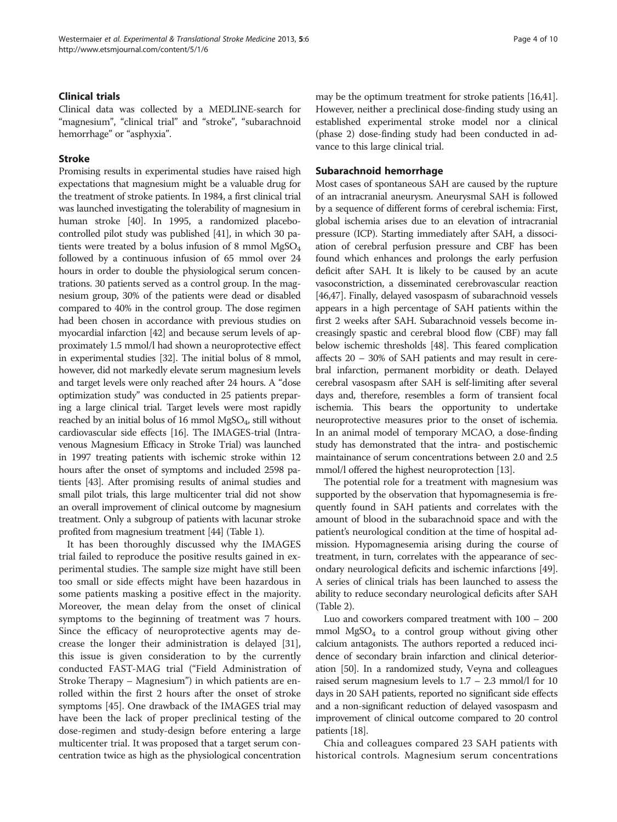#### Clinical trials

Clinical data was collected by a MEDLINE-search for "magnesium", "clinical trial" and "stroke", "subarachnoid hemorrhage" or "asphyxia".

#### Stroke

Promising results in experimental studies have raised high expectations that magnesium might be a valuable drug for the treatment of stroke patients. In 1984, a first clinical trial was launched investigating the tolerability of magnesium in human stroke [\[40](#page-8-0)]. In 1995, a randomized placebocontrolled pilot study was published [[41](#page-8-0)], in which 30 patients were treated by a bolus infusion of 8 mmol  $MgSO<sub>4</sub>$ followed by a continuous infusion of 65 mmol over 24 hours in order to double the physiological serum concentrations. 30 patients served as a control group. In the magnesium group, 30% of the patients were dead or disabled compared to 40% in the control group. The dose regimen had been chosen in accordance with previous studies on myocardial infarction [\[42\]](#page-8-0) and because serum levels of approximately 1.5 mmol/l had shown a neuroprotective effect in experimental studies [\[32](#page-8-0)]. The initial bolus of 8 mmol, however, did not markedly elevate serum magnesium levels and target levels were only reached after 24 hours. A "dose optimization study" was conducted in 25 patients preparing a large clinical trial. Target levels were most rapidly reached by an initial bolus of 16 mmol  $MgSO_4$ , still without cardiovascular side effects [[16\]](#page-7-0). The IMAGES-trial (Intravenous Magnesium Efficacy in Stroke Trial) was launched in 1997 treating patients with ischemic stroke within 12 hours after the onset of symptoms and included 2598 patients [\[43\]](#page-8-0). After promising results of animal studies and small pilot trials, this large multicenter trial did not show an overall improvement of clinical outcome by magnesium treatment. Only a subgroup of patients with lacunar stroke profited from magnesium treatment [[44\]](#page-8-0) (Table [1](#page-4-0)).

It has been thoroughly discussed why the IMAGES trial failed to reproduce the positive results gained in experimental studies. The sample size might have still been too small or side effects might have been hazardous in some patients masking a positive effect in the majority. Moreover, the mean delay from the onset of clinical symptoms to the beginning of treatment was 7 hours. Since the efficacy of neuroprotective agents may decrease the longer their administration is delayed [\[31](#page-8-0)], this issue is given consideration to by the currently conducted FAST-MAG trial ("Field Administration of Stroke Therapy – Magnesium") in which patients are enrolled within the first 2 hours after the onset of stroke symptoms [[45\]](#page-8-0). One drawback of the IMAGES trial may have been the lack of proper preclinical testing of the dose-regimen and study-design before entering a large multicenter trial. It was proposed that a target serum concentration twice as high as the physiological concentration

may be the optimum treatment for stroke patients [\[16,](#page-7-0)[41](#page-8-0)]. However, neither a preclinical dose-finding study using an established experimental stroke model nor a clinical (phase 2) dose-finding study had been conducted in advance to this large clinical trial.

#### Subarachnoid hemorrhage

Most cases of spontaneous SAH are caused by the rupture of an intracranial aneurysm. Aneurysmal SAH is followed by a sequence of different forms of cerebral ischemia: First, global ischemia arises due to an elevation of intracranial pressure (ICP). Starting immediately after SAH, a dissociation of cerebral perfusion pressure and CBF has been found which enhances and prolongs the early perfusion deficit after SAH. It is likely to be caused by an acute vasoconstriction, a disseminated cerebrovascular reaction [[46,47\]](#page-8-0). Finally, delayed vasospasm of subarachnoid vessels appears in a high percentage of SAH patients within the first 2 weeks after SAH. Subarachnoid vessels become increasingly spastic and cerebral blood flow (CBF) may fall below ischemic thresholds [[48](#page-8-0)]. This feared complication affects 20 – 30% of SAH patients and may result in cerebral infarction, permanent morbidity or death. Delayed cerebral vasospasm after SAH is self-limiting after several days and, therefore, resembles a form of transient focal ischemia. This bears the opportunity to undertake neuroprotective measures prior to the onset of ischemia. In an animal model of temporary MCAO, a dose-finding study has demonstrated that the intra- and postischemic maintainance of serum concentrations between 2.0 and 2.5 mmol/l offered the highest neuroprotection [\[13\]](#page-7-0).

The potential role for a treatment with magnesium was supported by the observation that hypomagnesemia is frequently found in SAH patients and correlates with the amount of blood in the subarachnoid space and with the patient's neurological condition at the time of hospital admission. Hypomagnesemia arising during the course of treatment, in turn, correlates with the appearance of secondary neurological deficits and ischemic infarctions [[49](#page-8-0)]. A series of clinical trials has been launched to assess the ability to reduce secondary neurological deficits after SAH (Table [2](#page-5-0)).

Luo and coworkers compared treatment with 100 – 200 mmol  $MgSO_4$  to a control group without giving other calcium antagonists. The authors reported a reduced incidence of secondary brain infarction and clinical deterioration [\[50](#page-8-0)]. In a randomized study, Veyna and colleagues raised serum magnesium levels to 1.7 – 2.3 mmol/l for 10 days in 20 SAH patients, reported no significant side effects and a non-significant reduction of delayed vasospasm and improvement of clinical outcome compared to 20 control patients [\[18](#page-7-0)].

Chia and colleagues compared 23 SAH patients with historical controls. Magnesium serum concentrations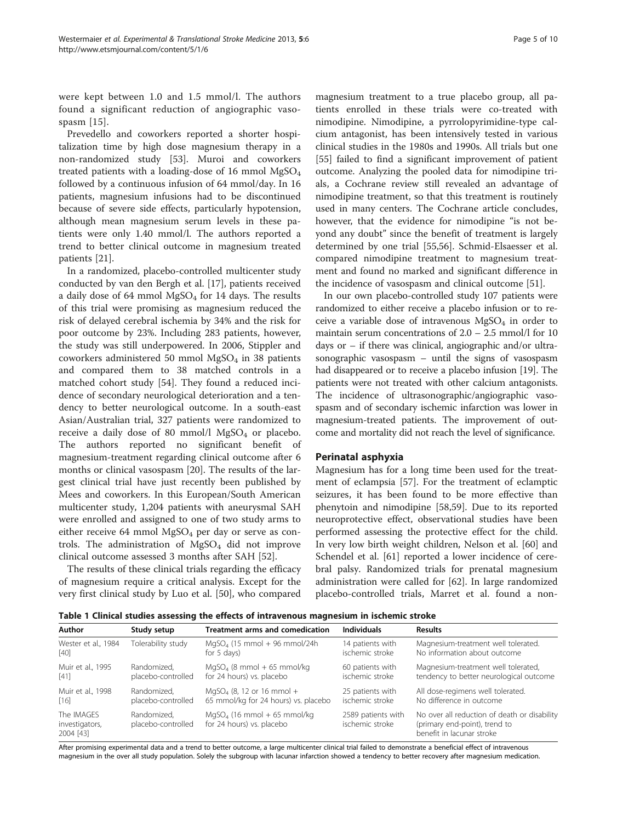<span id="page-4-0"></span>were kept between 1.0 and 1.5 mmol/l. The authors found a significant reduction of angiographic vasospasm [\[15\]](#page-7-0).

Prevedello and coworkers reported a shorter hospitalization time by high dose magnesium therapy in a non-randomized study [[53\]](#page-8-0). Muroi and coworkers treated patients with a loading-dose of 16 mmol  $MgSO<sub>4</sub>$ followed by a continuous infusion of 64 mmol/day. In 16 patients, magnesium infusions had to be discontinued because of severe side effects, particularly hypotension, although mean magnesium serum levels in these patients were only 1.40 mmol/l. The authors reported a trend to better clinical outcome in magnesium treated patients [\[21\]](#page-8-0).

In a randomized, placebo-controlled multicenter study conducted by van den Bergh et al. [\[17](#page-7-0)], patients received a daily dose of 64 mmol  $MgSO_4$  for 14 days. The results of this trial were promising as magnesium reduced the risk of delayed cerebral ischemia by 34% and the risk for poor outcome by 23%. Including 283 patients, however, the study was still underpowered. In 2006, Stippler and coworkers administered 50 mmol  $MgSO<sub>4</sub>$  in 38 patients and compared them to 38 matched controls in a matched cohort study [[54](#page-8-0)]. They found a reduced incidence of secondary neurological deterioration and a tendency to better neurological outcome. In a south-east Asian/Australian trial, 327 patients were randomized to receive a daily dose of 80 mmol/l  $MgSO<sub>4</sub>$  or placebo. The authors reported no significant benefit of magnesium-treatment regarding clinical outcome after 6 months or clinical vasospasm [\[20](#page-8-0)]. The results of the largest clinical trial have just recently been published by Mees and coworkers. In this European/South American multicenter study, 1,204 patients with aneurysmal SAH were enrolled and assigned to one of two study arms to either receive 64 mmol  $MgSO<sub>4</sub>$  per day or serve as controls. The administration of  $MgSO<sub>4</sub>$  did not improve clinical outcome assessed 3 months after SAH [[52](#page-8-0)].

The results of these clinical trials regarding the efficacy of magnesium require a critical analysis. Except for the very first clinical study by Luo et al. [\[50\]](#page-8-0), who compared

magnesium treatment to a true placebo group, all patients enrolled in these trials were co-treated with nimodipine. Nimodipine, a pyrrolopyrimidine-type calcium antagonist, has been intensively tested in various clinical studies in the 1980s and 1990s. All trials but one [[55\]](#page-8-0) failed to find a significant improvement of patient outcome. Analyzing the pooled data for nimodipine trials, a Cochrane review still revealed an advantage of nimodipine treatment, so that this treatment is routinely used in many centers. The Cochrane article concludes, however, that the evidence for nimodipine "is not beyond any doubt" since the benefit of treatment is largely determined by one trial [[55,56\]](#page-8-0). Schmid-Elsaesser et al. compared nimodipine treatment to magnesium treatment and found no marked and significant difference in the incidence of vasospasm and clinical outcome [\[51](#page-8-0)].

In our own placebo-controlled study 107 patients were randomized to either receive a placebo infusion or to receive a variable dose of intravenous  $MgSO<sub>4</sub>$  in order to maintain serum concentrations of 2.0 – 2.5 mmol/l for 10 days or – if there was clinical, angiographic and/or ultrasonographic vasospasm – until the signs of vasospasm had disappeared or to receive a placebo infusion [\[19\]](#page-7-0). The patients were not treated with other calcium antagonists. The incidence of ultrasonographic/angiographic vasospasm and of secondary ischemic infarction was lower in magnesium-treated patients. The improvement of outcome and mortality did not reach the level of significance.

# Perinatal asphyxia

Magnesium has for a long time been used for the treatment of eclampsia [\[57\]](#page-8-0). For the treatment of eclamptic seizures, it has been found to be more effective than phenytoin and nimodipine [[58,59\]](#page-8-0). Due to its reported neuroprotective effect, observational studies have been performed assessing the protective effect for the child. In very low birth weight children, Nelson et al. [\[60\]](#page-9-0) and Schendel et al. [\[61\]](#page-9-0) reported a lower incidence of cerebral palsy. Randomized trials for prenatal magnesium administration were called for [\[62\]](#page-9-0). In large randomized placebo-controlled trials, Marret et al. found a non-

Table 1 Clinical studies assessing the effects of intravenous magnesium in ischemic stroke

| Author                                    | Study setup                       | Treatment arms and comedication                            | <b>Individuals</b>                    | <b>Results</b>                                                                                             |
|-------------------------------------------|-----------------------------------|------------------------------------------------------------|---------------------------------------|------------------------------------------------------------------------------------------------------------|
| Wester et al., 1984                       | Tolerability study                | $MqSO4$ (15 mmol + 96 mmol/24h)                            | 14 patients with                      | Magnesium-treatment well tolerated.                                                                        |
| $[40]$                                    |                                   | for $5$ days)                                              | ischemic stroke                       | No information about outcome                                                                               |
| Muir et al., 1995                         | Randomized.                       | $MqSO4$ (8 mmol + 65 mmol/kg                               | 60 patients with                      | Magnesium-treatment well tolerated,                                                                        |
| $[41]$                                    | placebo-controlled                | for 24 hours) vs. placebo                                  | ischemic stroke                       | tendency to better neurological outcome                                                                    |
| Muir et al., 1998                         | Randomized.                       | $MqSO4$ (8, 12 or 16 mmol +                                | 25 patients with                      | All dose-regimens well tolerated.                                                                          |
| $[16]$                                    | placebo-controlled                | 65 mmol/kg for 24 hours) vs. placebo                       | ischemic stroke                       | No difference in outcome                                                                                   |
| The IMAGES<br>investigators,<br>2004 [43] | Randomized.<br>placebo-controlled | $MqSO4$ (16 mmol + 65 mmol/kg<br>for 24 hours) vs. placebo | 2589 patients with<br>ischemic stroke | No over all reduction of death or disability<br>(primary end-point), trend to<br>benefit in lacunar stroke |

After promising experimental data and a trend to better outcome, a large multicenter clinical trial failed to demonstrate a beneficial effect of intravenous magnesium in the over all study population. Solely the subgroup with lacunar infarction showed a tendency to better recovery after magnesium medication.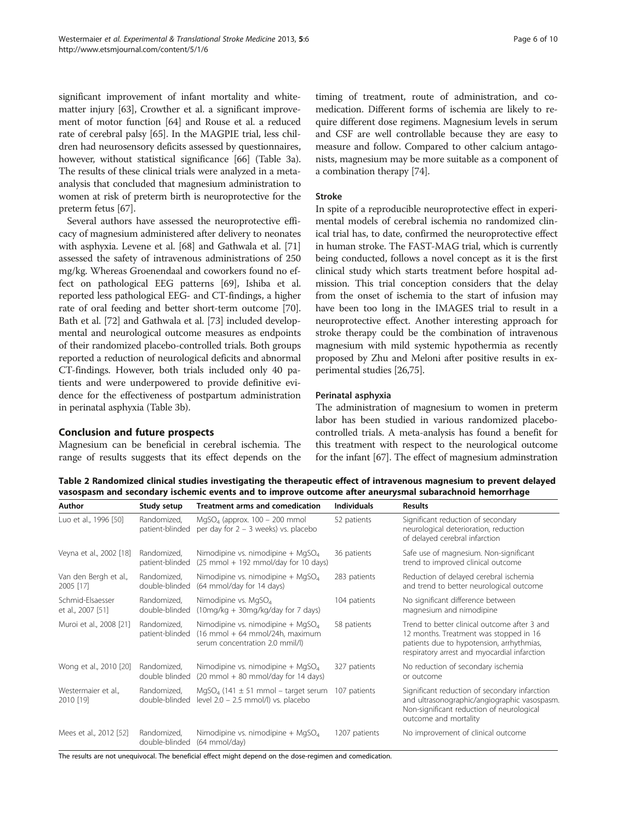<span id="page-5-0"></span>significant improvement of infant mortality and whitematter injury [\[63\]](#page-9-0), Crowther et al. a significant improvement of motor function [[64](#page-9-0)] and Rouse et al. a reduced rate of cerebral palsy [[65](#page-9-0)]. In the MAGPIE trial, less children had neurosensory deficits assessed by questionnaires, however, without statistical significance [[66](#page-9-0)] (Table [3](#page-6-0)a). The results of these clinical trials were analyzed in a metaanalysis that concluded that magnesium administration to women at risk of preterm birth is neuroprotective for the preterm fetus [\[67\]](#page-9-0).

Several authors have assessed the neuroprotective efficacy of magnesium administered after delivery to neonates with asphyxia. Levene et al. [[68](#page-9-0)] and Gathwala et al. [[71](#page-9-0)] assessed the safety of intravenous administrations of 250 mg/kg. Whereas Groenendaal and coworkers found no effect on pathological EEG patterns [\[69\]](#page-9-0), Ishiba et al. reported less pathological EEG- and CT-findings, a higher rate of oral feeding and better short-term outcome [[70](#page-9-0)]. Bath et al. [[72](#page-9-0)] and Gathwala et al. [\[73\]](#page-9-0) included developmental and neurological outcome measures as endpoints of their randomized placebo-controlled trials. Both groups reported a reduction of neurological deficits and abnormal CT-findings. However, both trials included only 40 patients and were underpowered to provide definitive evidence for the effectiveness of postpartum administration in perinatal asphyxia (Table [3b](#page-6-0)).

#### Conclusion and future prospects

Magnesium can be beneficial in cerebral ischemia. The range of results suggests that its effect depends on the

timing of treatment, route of administration, and comedication. Different forms of ischemia are likely to require different dose regimens. Magnesium levels in serum and CSF are well controllable because they are easy to measure and follow. Compared to other calcium antagonists, magnesium may be more suitable as a component of a combination therapy [\[74\]](#page-9-0).

#### Stroke

In spite of a reproducible neuroprotective effect in experimental models of cerebral ischemia no randomized clinical trial has, to date, confirmed the neuroprotective effect in human stroke. The FAST-MAG trial, which is currently being conducted, follows a novel concept as it is the first clinical study which starts treatment before hospital admission. This trial conception considers that the delay from the onset of ischemia to the start of infusion may have been too long in the IMAGES trial to result in a neuroprotective effect. Another interesting approach for stroke therapy could be the combination of intravenous magnesium with mild systemic hypothermia as recently proposed by Zhu and Meloni after positive results in experimental studies [[26](#page-8-0)[,75\]](#page-9-0).

## Perinatal asphyxia

The administration of magnesium to women in preterm labor has been studied in various randomized placebocontrolled trials. A meta-analysis has found a benefit for this treatment with respect to the neurological outcome for the infant [\[67\]](#page-9-0). The effect of magnesium adminstration

Table 2 Randomized clinical studies investigating the therapeutic effect of intravenous magnesium to prevent delayed vasospasm and secondary ischemic events and to improve outcome after aneurysmal subarachnoid hemorrhage

| Author                                | Study setup                    | <b>Treatment arms and comedication</b>                                                                      | <b>Individuals</b> | <b>Results</b>                                                                                                                                                                      |
|---------------------------------------|--------------------------------|-------------------------------------------------------------------------------------------------------------|--------------------|-------------------------------------------------------------------------------------------------------------------------------------------------------------------------------------|
| Luo et al., 1996 [50]                 | Randomized.<br>patient-blinded | $MqSO4$ (approx. 100 – 200 mmol<br>per day for $2 - 3$ weeks) vs. placebo                                   | 52 patients        | Significant reduction of secondary<br>neurological deterioration, reduction<br>of delayed cerebral infarction                                                                       |
| Veyna et al., 2002 [18]               | Randomized.<br>patient-blinded | Nimodipine vs. nimodipine + $MqSO4$<br>$(25 \text{ mmol} + 192 \text{ mmol/day}$ for 10 days)               | 36 patients        | Safe use of magnesium. Non-significant<br>trend to improved clinical outcome                                                                                                        |
| Van den Bergh et al.,<br>2005 [17]    | Randomized.<br>double-blinded  | Nimodipine vs. nimodipine + $MqSO4$<br>(64 mmol/day for 14 days)                                            | 283 patients       | Reduction of delayed cerebral ischemia<br>and trend to better neurological outcome                                                                                                  |
| Schmid-Elsaesser<br>et al., 2007 [51] | Randomized,<br>double-blinded  | Nimodipine vs. MgSO <sub>4</sub><br>(10mg/kg + 30mg/kg/day for 7 days)                                      | 104 patients       | No significant difference between<br>magnesium and nimodipine                                                                                                                       |
| Muroi et al., 2008 [21]               | Randomized,<br>patient-blinded | Nimodipine vs. nimodipine + $MqSO4$<br>$(16$ mmol + 64 mmol/24h, maximum<br>serum concentration 2.0 mmil/l) | 58 patients        | Trend to better clinical outcome after 3 and<br>12 months. Treatment was stopped in 16<br>patients due to hypotension, arrhythmias,<br>respiratory arrest and myocardial infarction |
| Wong et al., 2010 [20]                | Randomized.<br>double blinded  | Nimodipine vs. nimodipine + $MqSO4$<br>$(20 \text{ mmol} + 80 \text{ mmol/day}$ for 14 days)                | 327 patients       | No reduction of secondary ischemia<br>or outcome                                                                                                                                    |
| Westermaier et al.,<br>2010 [19]      | Randomized,<br>double-blinded  | $MqSO4$ (141 $\pm$ 51 mmol – target serum<br>level 2.0 - 2.5 mmol/l) vs. placebo                            | 107 patients       | Significant reduction of secondary infarction<br>and ultrasonographic/angiographic vasospasm<br>Non-significant reduction of neurological<br>outcome and mortality                  |
| Mees et al., 2012 [52]                | Randomized,<br>double-blinded  | Nimodipine vs. nimodipine + $MqSO4$<br>$(64$ mmol/day)                                                      | 1207 patients      | No improvement of clinical outcome                                                                                                                                                  |

The results are not unequivocal. The beneficial effect might depend on the dose-regimen and comedication.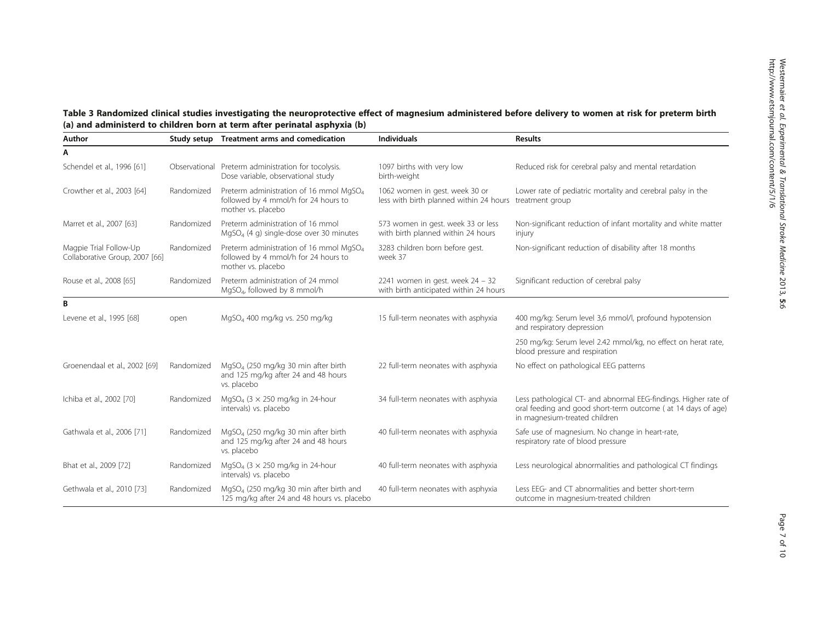# <span id="page-6-0"></span>Table 3 Randomized clinical studies investigating the neuroprotective effect of magnesium administered before delivery to women at risk for preterm birth (a) and administerd to children born at term after perinatal asphyxia (b)

| Author                                                   |            | Study setup Treatment arms and comedication                                                                       | Individuals                                                                  | <b>Results</b>                                                                                                                                                    |
|----------------------------------------------------------|------------|-------------------------------------------------------------------------------------------------------------------|------------------------------------------------------------------------------|-------------------------------------------------------------------------------------------------------------------------------------------------------------------|
| A                                                        |            |                                                                                                                   |                                                                              |                                                                                                                                                                   |
| Schendel et al., 1996 [61]                               |            | Observational Preterm administration for tocolysis.<br>Dose variable, observational study                         | 1097 births with very low<br>birth-weight                                    | Reduced risk for cerebral palsy and mental retardation                                                                                                            |
| Crowther et al., 2003 [64]                               | Randomized | Preterm administration of 16 mmol MgSO <sub>4</sub><br>followed by 4 mmol/h for 24 hours to<br>mother vs. placebo | 1062 women in gest. week 30 or<br>less with birth planned within 24 hours    | Lower rate of pediatric mortality and cerebral palsy in the<br>treatment group                                                                                    |
| Marret et al., 2007 [63]                                 | Randomized | Preterm administration of 16 mmol<br>MgSO <sub>4</sub> (4 g) single-dose over 30 minutes                          | 573 women in gest. week 33 or less<br>with birth planned within 24 hours     | Non-significant reduction of infant mortality and white matter<br>injury                                                                                          |
| Magpie Trial Follow-Up<br>Collaborative Group, 2007 [66] | Randomized | Preterm administration of 16 mmol MgSO <sub>4</sub><br>followed by 4 mmol/h for 24 hours to<br>mother vs. placebo | 3283 children born before gest.<br>week 37                                   | Non-significant reduction of disability after 18 months                                                                                                           |
| Rouse et al., 2008 [65]                                  | Randomized | Preterm administration of 24 mmol<br>MgSO <sub>4</sub> , followed by 8 mmol/h                                     | 2241 women in gest. week $24 - 32$<br>with birth anticipated within 24 hours | Significant reduction of cerebral palsy                                                                                                                           |
| B                                                        |            |                                                                                                                   |                                                                              |                                                                                                                                                                   |
| Levene et al., 1995 [68]                                 | open       | MgSO <sub>4</sub> 400 mg/kg vs. 250 mg/kg                                                                         | 15 full-term neonates with asphyxia                                          | 400 mg/kg: Serum level 3,6 mmol/l, profound hypotension<br>and respiratory depression                                                                             |
|                                                          |            |                                                                                                                   |                                                                              | 250 mg/kg: Serum level 2.42 mmol/kg, no effect on herat rate,<br>blood pressure and respiration                                                                   |
| Groenendaal et al., 2002 [69]                            | Randomized | MgSO <sub>4</sub> (250 mg/kg 30 min after birth<br>and 125 mg/kg after 24 and 48 hours<br>vs. placebo             | 22 full-term neonates with asphyxia                                          | No effect on pathological EEG patterns                                                                                                                            |
| Ichiba et al., 2002 [70]                                 | Randomized | MgSO <sub>4</sub> ( $3 \times 250$ mg/kg in 24-hour<br>intervals) vs. placebo                                     | 34 full-term neonates with asphyxia                                          | Less pathological CT- and abnormal EEG-findings. Higher rate of<br>oral feeding and good short-term outcome ( at 14 days of age)<br>in magnesium-treated children |
| Gathwala et al., 2006 [71]                               | Randomized | MgSO <sub>4</sub> (250 mg/kg 30 min after birth<br>and 125 mg/kg after 24 and 48 hours<br>vs. placebo             | 40 full-term neonates with asphyxia                                          | Safe use of magnesium. No change in heart-rate,<br>respiratory rate of blood pressure                                                                             |
| Bhat et al., 2009 [72]                                   | Randomized | MgSO <sub>4</sub> ( $3 \times 250$ mg/kg in 24-hour<br>intervals) vs. placebo                                     | 40 full-term neonates with asphyxia                                          | Less neurological abnormalities and pathological CT findings                                                                                                      |
| Gethwala et al., 2010 [73]                               | Randomized | MgSO <sub>4</sub> (250 mg/kg 30 min after birth and<br>125 mg/kg after 24 and 48 hours vs. placebo                | 40 full-term neonates with asphyxia                                          | Less EEG- and CT abnormalities and better short-term<br>outcome in magnesium-treated children                                                                     |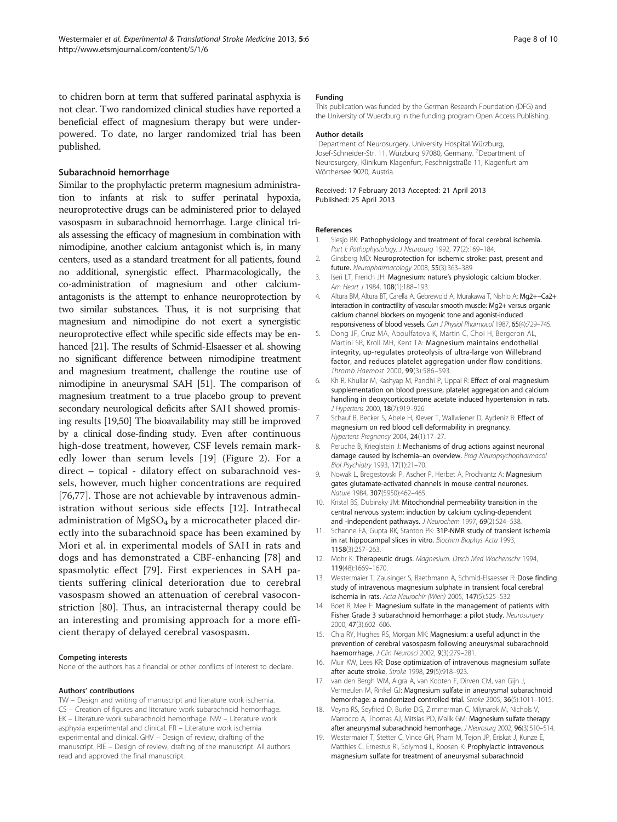<span id="page-7-0"></span>to chidren born at term that suffered parinatal asphyxia is not clear. Two randomized clinical studies have reported a beneficial effect of magnesium therapy but were underpowered. To date, no larger randomized trial has been published.

#### Subarachnoid hemorrhage

Similar to the prophylactic preterm magnesium administration to infants at risk to suffer perinatal hypoxia, neuroprotective drugs can be administered prior to delayed vasospasm in subarachnoid hemorrhage. Large clinical trials assessing the efficacy of magnesium in combination with nimodipine, another calcium antagonist which is, in many centers, used as a standard treatment for all patients, found no additional, synergistic effect. Pharmacologically, the co-administration of magnesium and other calciumantagonists is the attempt to enhance neuroprotection by two similar substances. Thus, it is not surprising that magnesium and nimodipine do not exert a synergistic neuroprotective effect while specific side effects may be enhanced [[21](#page-8-0)]. The results of Schmid-Elsaesser et al. showing no significant difference between nimodipine treatment and magnesium treatment, challenge the routine use of nimodipine in aneurysmal SAH [\[51\]](#page-8-0). The comparison of magnesium treatment to a true placebo group to prevent secondary neurological deficits after SAH showed promising results [19,[50](#page-8-0)] The bioavailability may still be improved by a clinical dose-finding study. Even after continuous high-dose treatment, however, CSF levels remain markedly lower than serum levels [19] (Figure [2](#page-1-0)). For a direct – topical - dilatory effect on subarachnoid vessels, however, much higher concentrations are required [[76,77](#page-9-0)]. Those are not achievable by intravenous administration without serious side effects [12]. Intrathecal administration of  $MgSO_4$  by a microcatheter placed directly into the subarachnoid space has been examined by Mori et al. in experimental models of SAH in rats and dogs and has demonstrated a CBF-enhancing [\[78](#page-9-0)] and spasmolytic effect [\[79](#page-9-0)]. First experiences in SAH patients suffering clinical deterioration due to cerebral vasospasm showed an attenuation of cerebral vasoconstriction [[80\]](#page-9-0). Thus, an intracisternal therapy could be an interesting and promising approach for a more efficient therapy of delayed cerebral vasospasm.

#### Competing interests

None of the authors has a financial or other conflicts of interest to declare.

#### Authors' contributions

TW – Design and writing of manuscript and literature work ischemia. CS – Creation of figures and literature work subarachnoid hemorrhage. EK – Literature work subarachnoid hemorrhage. NW – Literature work asphyxia experimental and clinical. FR – Literature work ischemia experimental and clinical. GHV – Design of review, drafting of the manuscript, RIE – Design of review, drafting of the manuscript. All authors read and approved the final manuscript.

#### Funding

This publication was funded by the German Research Foundation (DFG) and the University of Wuerzburg in the funding program Open Access Publishing.

#### Author details

1 Department of Neurosurgery, University Hospital Würzburg, Josef-Schneider-Str. 11, Würzburg 97080, Germany. <sup>2</sup>Department of Neurosurgery, Klinikum Klagenfurt, Feschnigstraße 11, Klagenfurt am Wörthersee 9020, Austria.

#### Received: 17 February 2013 Accepted: 21 April 2013 Published: 25 April 2013

#### References

- 1. Siesjo BK: Pathophysiology and treatment of focal cerebral ischemia. Part I: Pathophysiology. J Neurosurg 1992, 77(2):169-184.
- 2. Ginsberg MD: Neuroprotection for ischemic stroke: past, present and future. Neuropharmacology 2008, 55(3):363–389.
- 3. Iseri LT, French JH: Magnesium: nature's physiologic calcium blocker. Am Heart J 1984, 108(1):188-193.
- 4. Altura BM, Altura BT, Carella A, Gebrewold A, Murakawa T, Nishio A: Mg2+−Ca2+ interaction in contractility of vascular smooth muscle: Mg2+ versus organic calcium channel blockers on myogenic tone and agonist-induced responsiveness of blood vessels. Can J Physiol Pharmacol 1987, 65(4):729–745.
- 5. Dong JF, Cruz MA, Aboulfatova K, Martin C, Choi H, Bergeron AL, Martini SR, Kroll MH, Kent TA: Magnesium maintains endothelial integrity, up-regulates proteolysis of ultra-large von Willebrand factor, and reduces platelet aggregation under flow conditions. Thromb Haemost 2000, 99(3):586–593.
- 6. Kh R, Khullar M, Kashyap M, Pandhi P, Uppal R: Effect of oral magnesium supplementation on blood pressure, platelet aggregation and calcium handling in deoxycorticosterone acetate induced hypertension in rats. J Hypertens 2000, 18(7):919–926.
- 7. Schauf B, Becker S, Abele H, Klever T, Wallwiener D, Aydeniz B: Effect of magnesium on red blood cell deformability in pregnancy. Hypertens Pregnancy 2004, 24(1):17–27.
- 8. Peruche B, Krieglstein J: Mechanisms of drug actions against neuronal damage caused by ischemia–an overview. Prog Neuropsychopharmacol Biol Psychiatry 1993, 17(1):21–70.
- 9. Nowak L, Bregestovski P, Ascher P, Herbet A, Prochiantz A: Magnesium gates glutamate-activated channels in mouse central neurones. Nature 1984, 307(5950):462–465.
- 10. Kristal BS, Dubinsky JM: Mitochondrial permeability transition in the central nervous system: induction by calcium cycling-dependent and -independent pathways. J Neurochem 1997, 69(2):524-538.
- 11. Schanne FA, Gupta RK, Stanton PK: 31P-NMR study of transient ischemia in rat hippocampal slices in vitro. Biochim Biophys Acta 1993, 1158(3):257–263.
- 12. Mohr K: Therapeutic drugs. Magnesium. Dtsch Med Wochenschr 1994, 119(48):1669–1670.
- 13. Westermaier T, Zausinger S, Baethmann A, Schmid-Elsaesser R: Dose finding study of intravenous magnesium sulphate in transient focal cerebral ischemia in rats. Acta Neurochir (Wien) 2005, 147(5):525–532.
- 14. Boet R, Mee E: Magnesium sulfate in the management of patients with Fisher Grade 3 subarachnoid hemorrhage: a pilot study. Neurosurgery 2000, 47(3):602–606.
- 15. Chia RY, Hughes RS, Morgan MK: Magnesium: a useful adjunct in the prevention of cerebral vasospasm following aneurysmal subarachnoid haemorrhage. J Clin Neurosci 2002, 9(3):279–281.
- 16. Muir KW, Lees KR: Dose optimization of intravenous magnesium sulfate after acute stroke. Stroke 1998, 29(5):918–923.
- 17. van den Bergh WM, Algra A, van Kooten F, Dirven CM, van Gijn J, Vermeulen M, Rinkel GJ: Magnesium sulfate in aneurysmal subarachnoid hemorrhage: a randomized controlled trial. Stroke 2005, 36(5):1011-1015.
- 18. Veyna RS, Seyfried D, Burke DG, Zimmerman C, Mlynarek M, Nichols V, Marrocco A, Thomas AJ, Mitsias PD, Malik GM: Magnesium sulfate therapy after aneurysmal subarachnoid hemorrhage. J Neurosurg 2002, 96(3):510-514.
- 19. Westermaier T, Stetter C, Vince GH, Pham M, Tejon JP, Eriskat J, Kunze E, Matthies C, Ernestus RI, Solymosi L, Roosen K: Prophylactic intravenous magnesium sulfate for treatment of aneurysmal subarachnoid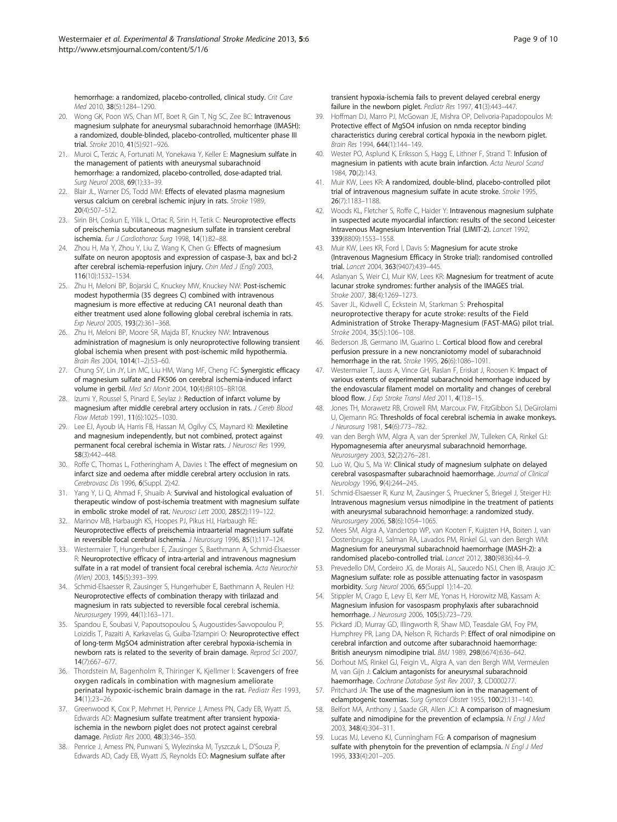<span id="page-8-0"></span>hemorrhage: a randomized, placebo-controlled, clinical study. Crit Care Med 2010, 38(5):1284–1290.

- 20. Wong GK, Poon WS, Chan MT, Boet R, Gin T, Ng SC, Zee BC: Intravenous magnesium sulphate for aneurysmal subarachnoid hemorrhage (IMASH): a randomized, double-blinded, placebo-controlled, multicenter phase III trial. Stroke 2010, 41(5):921–926.
- 21. Muroi C, Terzic A, Fortunati M, Yonekawa Y, Keller E: Magnesium sulfate in the management of patients with aneurysmal subarachnoid hemorrhage: a randomized, placebo-controlled, dose-adapted trial. Surg Neurol 2008, 69(1):33–39.
- 22. Blair JL, Warner DS, Todd MM: Effects of elevated plasma magnesium versus calcium on cerebral ischemic injury in rats. Stroke 1989, 20(4):507–512.
- 23. Sirin BH, Coskun E, Yilik L, Ortac R, Sirin H, Tetik C: Neuroprotective effects of preischemia subcutaneous magnesium sulfate in transient cerebral ischemia. Eur J Cardiothorac Surg 1998, 14(1):82–88.
- 24. Zhou H, Ma Y, Zhou Y, Liu Z, Wang K, Chen G: Effects of magnesium sulfate on neuron apoptosis and expression of caspase-3, bax and bcl-2 after cerebral ischemia-reperfusion injury. Chin Med J (Engl) 2003, 116(10):1532–1534.
- 25. Zhu H, Meloni BP, Bojarski C, Knuckey MW, Knuckey NW: Post-ischemic modest hypothermia (35 degrees C) combined with intravenous magnesium is more effective at reducing CA1 neuronal death than either treatment used alone following global cerebral ischemia in rats. Exp Neurol 2005, 193(2):361–368.
- 26. Zhu H, Meloni BP, Moore SR, Majda BT, Knuckey NW: Intravenous administration of magnesium is only neuroprotective following transient global ischemia when present with post-ischemic mild hypothermia. Brain Res 2004, 1014(1–2):53–60.
- 27. Chung SY, Lin JY, Lin MC, Liu HM, Wang MF, Cheng FC: Synergistic efficacy of magnesium sulfate and FK506 on cerebral ischemia-induced infarct volume in gerbil. Med Sci Monit 2004, 10(4):BR105–BR108.
- 28. Izumi Y, Roussel S, Pinard E, Seylaz J: Reduction of infarct volume by magnesium after middle cerebral artery occlusion in rats. J Cereb Blood Flow Metab 1991, 11(6):1025–1030.
- 29. Lee EJ, Ayoub IA, Harris FB, Hassan M, Ogilvy CS, Maynard KI: Mexiletine and magnesium independently, but not combined, protect against permanent focal cerebral ischemia in Wistar rats. J Neurosci Res 1999, 58(3):442–448.
- 30. Roffe C, Thomas L, Fotheringham A, Davies I: The effect of megnesium on infarct size and oedema after middle cerebral artery occlusion in rats. Cerebrovasc Dis 1996, 6(Suppl. 2):42.
- 31. Yang Y, Li Q, Ahmad F, Shuaib A: Survival and histological evaluation of therapeutic window of post-ischemia treatment with magnesium sulfate in embolic stroke model of rat. Neurosci Lett 2000, 285(2):119–122.
- 32. Marinov MB, Harbaugh KS, Hoopes PJ, Pikus HJ, Harbaugh RE: Neuroprotective effects of preischemia intraarterial magnesium sulfate in reversible focal cerebral ischemia. J Neurosurg 1996, 85(1):117–124.
- 33. Westermaier T, Hungerhuber E, Zausinger S, Baethmann A, Schmid-Elsaesser R: Neuroprotective efficacy of intra-arterial and intravenous magnesium sulfate in a rat model of transient focal cerebral ischemia. Acta Neurochir (Wien) 2003, 145(5):393–399.
- 34. Schmid-Elsaesser R, Zausinger S, Hungerhuber E, Baethmann A, Reulen HJ: Neuroprotective effects of combination therapy with tirilazad and magnesium in rats subjected to reversible focal cerebral ischemia. Neurosurgery 1999, 44(1):163–171.
- 35. Spandou E, Soubasi V, Papoutsopoulou S, Augoustides-Savvopoulou P, Loizidis T, Pazaiti A, Karkavelas G, Guiba-Tziampiri O: Neuroprotective effect of long-term MgSO4 administration after cerebral hypoxia-ischemia in newborn rats is related to the severity of brain damage. Reprod Sci 2007, 14(7):667–677.
- 36. Thordstein M, Bagenholm R, Thiringer K, Kjellmer I: Scavengers of free oxygen radicals in combination with magnesium ameliorate perinatal hypoxic-ischemic brain damage in the rat. Pediatr Res 1993, 34(1):23–26.
- 37. Greenwood K, Cox P, Mehmet H, Penrice J, Amess PN, Cady EB, Wyatt JS, Edwards AD: Magnesium sulfate treatment after transient hypoxiaischemia in the newborn piglet does not protect against cerebral damage. Pediatr Res 2000, 48(3):346–350.
- 38. Penrice J, Amess PN, Punwani S, Wylezinska M, Tyszczuk L, D'Souza P, Edwards AD, Cady EB, Wyatt JS, Reynolds EO: Magnesium sulfate after

transient hypoxia-ischemia fails to prevent delayed cerebral energy failure in the newborn piglet. Pediatr Res 1997, 41(3):443-447.

- 39. Hoffman DJ, Marro PJ, McGowan JE, Mishra OP, Delivoria-Papadopoulos M: Protective effect of MgSO4 infusion on nmda receptor binding characteristics during cerebral cortical hypoxia in the newborn piglet. Brain Res 1994, 644(1):144–149.
- 40. Wester PO, Asplund K, Eriksson S, Hagg E, Lithner F, Strand T: Infusion of magnesium in patients with acute brain infarction. Acta Neurol Scand 1984, 70(2):143.
- 41. Muir KW, Lees KR: A randomized, double-blind, placebo-controlled pilot trial of intravenous magnesium sulfate in acute stroke. Stroke 1995, 26(7):1183–1188.
- 42. Woods KL, Fletcher S, Roffe C, Haider Y: Intravenous magnesium sulphate in suspected acute myocardial infarction: results of the second Leicester Intravenous Magnesium Intervention Trial (LIMIT-2). Lancet 1992, 339(8809):1553–1558.
- 43. Muir KW, Lees KR, Ford I, Davis S: Magnesium for acute stroke (Intravenous Magnesium Efficacy in Stroke trial): randomised controlled trial. Lancet 2004, 363(9407):439-445.
- 44. Aslanyan S, Weir CJ, Muir KW, Lees KR: Magnesium for treatment of acute lacunar stroke syndromes: further analysis of the IMAGES trial. Stroke 2007, 38(4):1269-1273.
- 45. Saver JL, Kidwell C, Eckstein M, Starkman S: Prehospital neuroprotective therapy for acute stroke: results of the Field Administration of Stroke Therapy-Magnesium (FAST-MAG) pilot trial. Stroke 2004, 35(5):106–108.
- 46. Bederson JB, Germano IM, Guarino L: Cortical blood flow and cerebral perfusion pressure in a new noncraniotomy model of subarachnoid hemorrhage in the rat. Stroke 1995, 26(6):1086-1091.
- 47. Westermaier T, Jauss A, Vince GH, Raslan F, Eriskat J, Roosen K: Impact of various extents of experimental subarachnoid hemorrhage induced by the endovascular filament model on mortality and changes of cerebral blood flow. J Exp Stroke Transl Med 2011, 4(1):8–15.
- 48. Jones TH, Morawetz RB, Crowell RM, Marcoux FW, FitzGibbon SJ, DeGirolami U, Ojemann RG: Thresholds of focal cerebral ischemia in awake monkeys. J Neurosurg 1981, 54(6):773–782.
- 49. van den Bergh WM, Algra A, van der Sprenkel JW, Tulleken CA, Rinkel GJ: Hypomagnesemia after aneurysmal subarachnoid hemorrhage. Neurosurgery 2003, 52(2):276–281.
- 50. Luo W, Qiu S, Ma W: Clinical study of magnesium sulphate on delayed cerebral vasospasmafter subarachnoid haemorrhage. Journal of Clinical Neurology 1996, 9(4):244–245.
- 51. Schmid-Elsaesser R, Kunz M, Zausinger S, Prueckner S, Briegel J, Steiger HJ: Intravenous magnesium versus nimodipine in the treatment of patients with aneurysmal subarachnoid hemorrhage: a randomized study. Neurosurgery 2006, 58(6):1054–1065.
- 52. Mees SM, Algra A, Vandertop WP, van Kooten F, Kuijsten HA, Boiten J, van Oostenbrugge RJ, Salman RA, Lavados PM, Rinkel GJ, van den Bergh WM: Magnesium for aneurysmal subarachnoid haemorrhage (MASH-2): a randomised placebo-controlled trial. Lancet 2012, 380(9836):44–9.
- 53. Prevedello DM, Cordeiro JG, de Morais AL, Saucedo NSJ, Chen IB, Araujo JC: Magnesium sulfate: role as possible attenuating factor in vasospasm morbidity. Surg Neurol 2006, 65(Suppl 1):14-20.
- 54. Stippler M, Crago E, Levy EI, Kerr ME, Yonas H, Horowitz MB, Kassam A: Magnesium infusion for vasospasm prophylaxis after subarachnoid hemorrhage. J Neurosurg 2006, 105(5):723–729.
- Pickard JD, Murray GD, Illingworth R, Shaw MD, Teasdale GM, Foy PM, Humphrey PR, Lang DA, Nelson R, Richards P: Effect of oral nimodipine on cerebral infarction and outcome after subarachnoid haemorrhage: British aneurysm nimodipine trial. BMJ 1989, 298(6674):636–642.
- 56. Dorhout MS, Rinkel GJ, Feigin VL, Algra A, van den Bergh WM, Vermeulen M, van Gijn J: Calcium antagonists for aneurysmal subarachnoid haemorrhage. Cochrane Database Syst Rev 2007, 3, CD000277.
- 57. Pritchard JA: The use of the magnesium ion in the management of eclamptogenic toxemias. Surg Gynecol Obstet 1955, 100(2):131–140.
- 58. Belfort MA, Anthony J, Saade GR, Allen JCJ: A comparison of magnesium sulfate and nimodipine for the prevention of eclampsia. N Engl J Med 2003, 348(4):304–311.
- 59. Lucas MJ, Leveno KJ, Cunningham FG: A comparison of magnesium sulfate with phenytoin for the prevention of eclampsia. N Engl J Med 1995, 333(4):201–205.